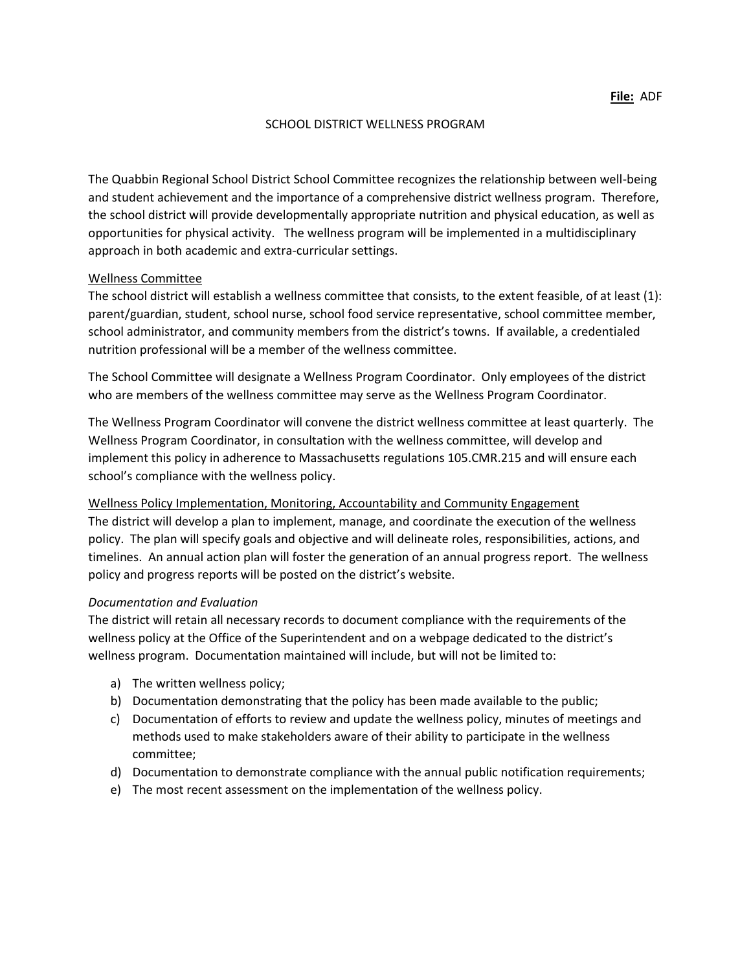#### SCHOOL DISTRICT WELLNESS PROGRAM

The Quabbin Regional School District School Committee recognizes the relationship between well-being and student achievement and the importance of a comprehensive district wellness program. Therefore, the school district will provide developmentally appropriate nutrition and physical education, as well as opportunities for physical activity. The wellness program will be implemented in a multidisciplinary approach in both academic and extra-curricular settings.

### Wellness Committee

The school district will establish a wellness committee that consists, to the extent feasible, of at least (1): parent/guardian, student, school nurse, school food service representative, school committee member, school administrator, and community members from the district's towns. If available, a credentialed nutrition professional will be a member of the wellness committee.

The School Committee will designate a Wellness Program Coordinator. Only employees of the district who are members of the wellness committee may serve as the Wellness Program Coordinator.

The Wellness Program Coordinator will convene the district wellness committee at least quarterly. The Wellness Program Coordinator, in consultation with the wellness committee, will develop and implement this policy in adherence to Massachusetts regulations 105.CMR.215 and will ensure each school's compliance with the wellness policy.

Wellness Policy Implementation, Monitoring, Accountability and Community Engagement The district will develop a plan to implement, manage, and coordinate the execution of the wellness policy. The plan will specify goals and objective and will delineate roles, responsibilities, actions, and timelines. An annual action plan will foster the generation of an annual progress report. The wellness policy and progress reports will be posted on the district's website.

#### *Documentation and Evaluation*

The district will retain all necessary records to document compliance with the requirements of the wellness policy at the Office of the Superintendent and on a webpage dedicated to the district's wellness program. Documentation maintained will include, but will not be limited to:

- a) The written wellness policy;
- b) Documentation demonstrating that the policy has been made available to the public;
- c) Documentation of efforts to review and update the wellness policy, minutes of meetings and methods used to make stakeholders aware of their ability to participate in the wellness committee;
- d) Documentation to demonstrate compliance with the annual public notification requirements;
- e) The most recent assessment on the implementation of the wellness policy.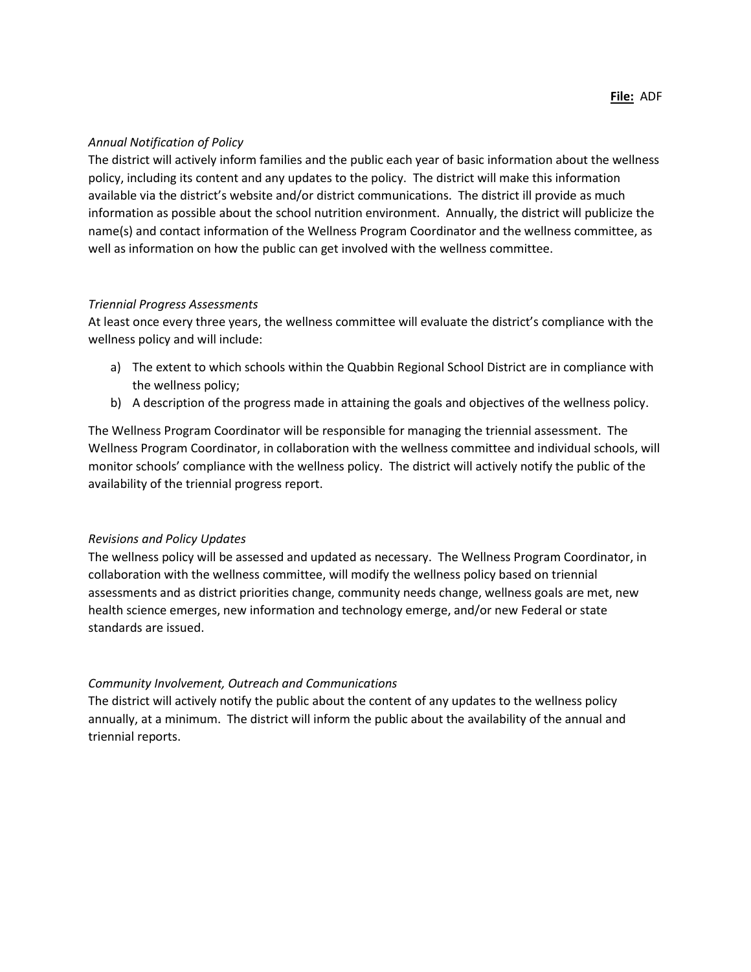## *Annual Notification of Policy*

The district will actively inform families and the public each year of basic information about the wellness policy, including its content and any updates to the policy. The district will make this information available via the district's website and/or district communications. The district ill provide as much information as possible about the school nutrition environment. Annually, the district will publicize the name(s) and contact information of the Wellness Program Coordinator and the wellness committee, as well as information on how the public can get involved with the wellness committee.

### *Triennial Progress Assessments*

At least once every three years, the wellness committee will evaluate the district's compliance with the wellness policy and will include:

- a) The extent to which schools within the Quabbin Regional School District are in compliance with the wellness policy;
- b) A description of the progress made in attaining the goals and objectives of the wellness policy.

The Wellness Program Coordinator will be responsible for managing the triennial assessment. The Wellness Program Coordinator, in collaboration with the wellness committee and individual schools, will monitor schools' compliance with the wellness policy. The district will actively notify the public of the availability of the triennial progress report.

## *Revisions and Policy Updates*

The wellness policy will be assessed and updated as necessary. The Wellness Program Coordinator, in collaboration with the wellness committee, will modify the wellness policy based on triennial assessments and as district priorities change, community needs change, wellness goals are met, new health science emerges, new information and technology emerge, and/or new Federal or state standards are issued.

## *Community Involvement, Outreach and Communications*

The district will actively notify the public about the content of any updates to the wellness policy annually, at a minimum. The district will inform the public about the availability of the annual and triennial reports.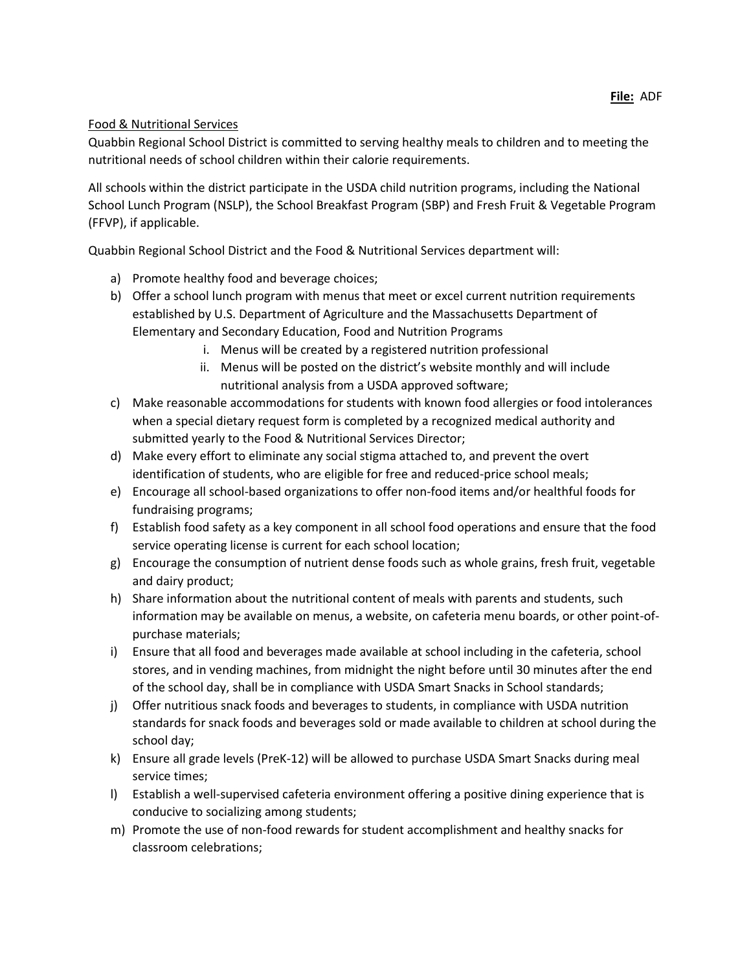# Food & Nutritional Services

Quabbin Regional School District is committed to serving healthy meals to children and to meeting the nutritional needs of school children within their calorie requirements.

All schools within the district participate in the USDA child nutrition programs, including the National School Lunch Program (NSLP), the School Breakfast Program (SBP) and Fresh Fruit & Vegetable Program (FFVP), if applicable.

Quabbin Regional School District and the Food & Nutritional Services department will:

- a) Promote healthy food and beverage choices;
- b) Offer a school lunch program with menus that meet or excel current nutrition requirements established by U.S. Department of Agriculture and the Massachusetts Department of Elementary and Secondary Education, Food and Nutrition Programs
	- i. Menus will be created by a registered nutrition professional
	- ii. Menus will be posted on the district's website monthly and will include nutritional analysis from a USDA approved software;
- c) Make reasonable accommodations for students with known food allergies or food intolerances when a special dietary request form is completed by a recognized medical authority and submitted yearly to the Food & Nutritional Services Director;
- d) Make every effort to eliminate any social stigma attached to, and prevent the overt identification of students, who are eligible for free and reduced-price school meals;
- e) Encourage all school-based organizations to offer non-food items and/or healthful foods for fundraising programs;
- f) Establish food safety as a key component in all school food operations and ensure that the food service operating license is current for each school location;
- g) Encourage the consumption of nutrient dense foods such as whole grains, fresh fruit, vegetable and dairy product;
- h) Share information about the nutritional content of meals with parents and students, such information may be available on menus, a website, on cafeteria menu boards, or other point-ofpurchase materials;
- i) Ensure that all food and beverages made available at school including in the cafeteria, school stores, and in vending machines, from midnight the night before until 30 minutes after the end of the school day, shall be in compliance with USDA Smart Snacks in School standards;
- j) Offer nutritious snack foods and beverages to students, in compliance with USDA nutrition standards for snack foods and beverages sold or made available to children at school during the school day;
- k) Ensure all grade levels (PreK-12) will be allowed to purchase USDA Smart Snacks during meal service times;
- l) Establish a well-supervised cafeteria environment offering a positive dining experience that is conducive to socializing among students;
- m) Promote the use of non-food rewards for student accomplishment and healthy snacks for classroom celebrations;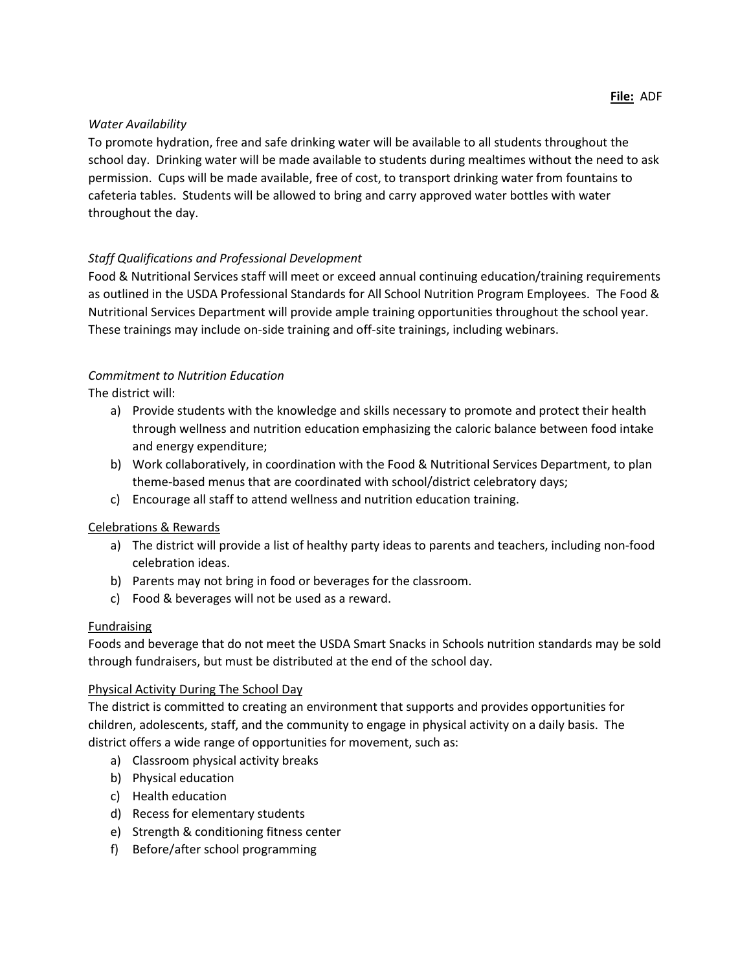## *Water Availability*

To promote hydration, free and safe drinking water will be available to all students throughout the school day. Drinking water will be made available to students during mealtimes without the need to ask permission. Cups will be made available, free of cost, to transport drinking water from fountains to cafeteria tables. Students will be allowed to bring and carry approved water bottles with water throughout the day.

# *Staff Qualifications and Professional Development*

Food & Nutritional Services staff will meet or exceed annual continuing education/training requirements as outlined in the USDA Professional Standards for All School Nutrition Program Employees. The Food & Nutritional Services Department will provide ample training opportunities throughout the school year. These trainings may include on-side training and off-site trainings, including webinars.

# *Commitment to Nutrition Education*

The district will:

- a) Provide students with the knowledge and skills necessary to promote and protect their health through wellness and nutrition education emphasizing the caloric balance between food intake and energy expenditure;
- b) Work collaboratively, in coordination with the Food & Nutritional Services Department, to plan theme-based menus that are coordinated with school/district celebratory days;
- c) Encourage all staff to attend wellness and nutrition education training.

# Celebrations & Rewards

- a) The district will provide a list of healthy party ideas to parents and teachers, including non-food celebration ideas.
- b) Parents may not bring in food or beverages for the classroom.
- c) Food & beverages will not be used as a reward.

# **Fundraising**

Foods and beverage that do not meet the USDA Smart Snacks in Schools nutrition standards may be sold through fundraisers, but must be distributed at the end of the school day.

## Physical Activity During The School Day

The district is committed to creating an environment that supports and provides opportunities for children, adolescents, staff, and the community to engage in physical activity on a daily basis. The district offers a wide range of opportunities for movement, such as:

- a) Classroom physical activity breaks
- b) Physical education
- c) Health education
- d) Recess for elementary students
- e) Strength & conditioning fitness center
- f) Before/after school programming